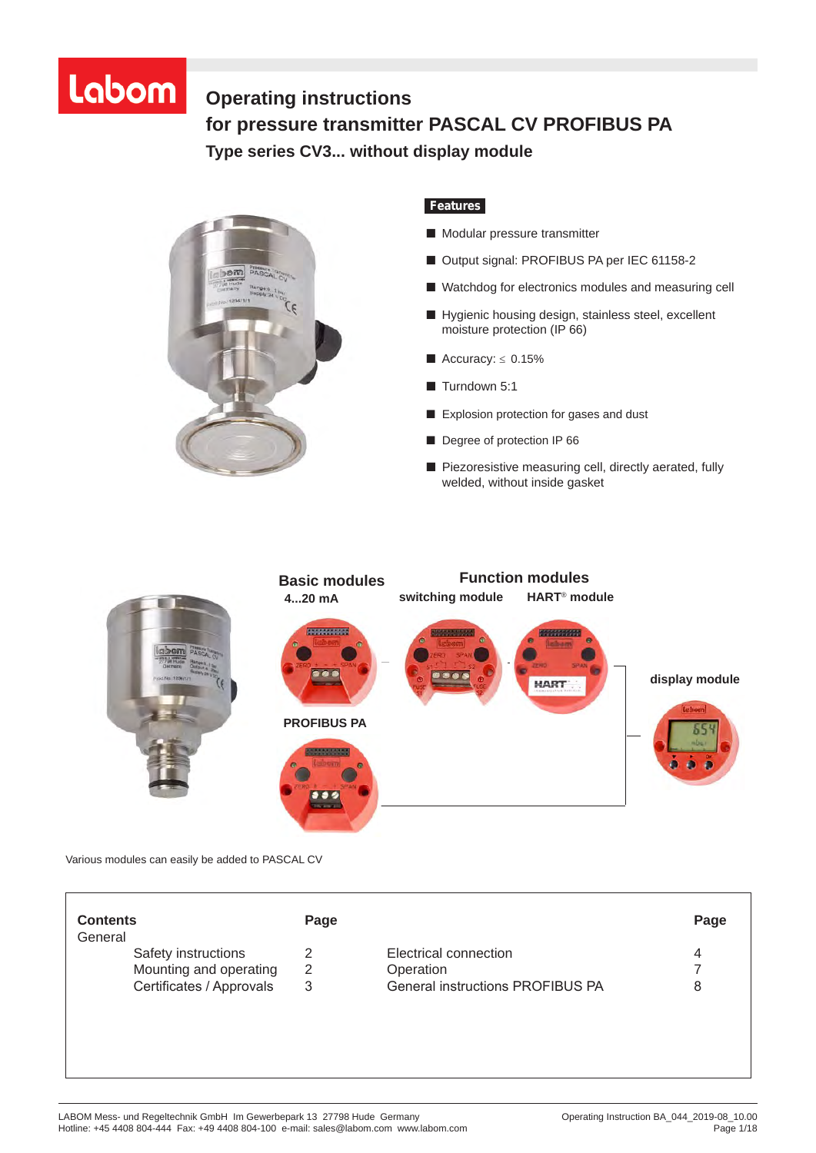# Labom

# **Operating instructions** for pressure transmitter PASCAL CV PROFIBUS PA **Type series CV3... without display module PASCAL CV PROFIBUS PA, Type Series CV 3 . . . without display module**



# *Features*

- Modular pressure transmitter
- Output signal: PROFIBUS PA per IEC 61158-2
- Watchdog for electronics modules and measuring cell
- Hygienic housing design, stainless steel, excellent moisture protection (IP 66)
- $\blacksquare$  Accuracy:  $\leq 0.15\%$
- Turndown 5:1
- Explosion protection for gases and dust
- Degree of protection IP 66
- Piezoresistive measuring cell, directly aerated, fully welded, without inside gasket



Various modules can easily be added to PASCAL CV

| <b>Contents</b>          | Page |                                         | Page |
|--------------------------|------|-----------------------------------------|------|
| General                  |      |                                         |      |
| Safety instructions      |      | Electrical connection                   | 4    |
| Mounting and operating   | 2    | Operation                               |      |
| Certificates / Approvals | 3    | <b>General instructions PROFIBUS PA</b> | 8    |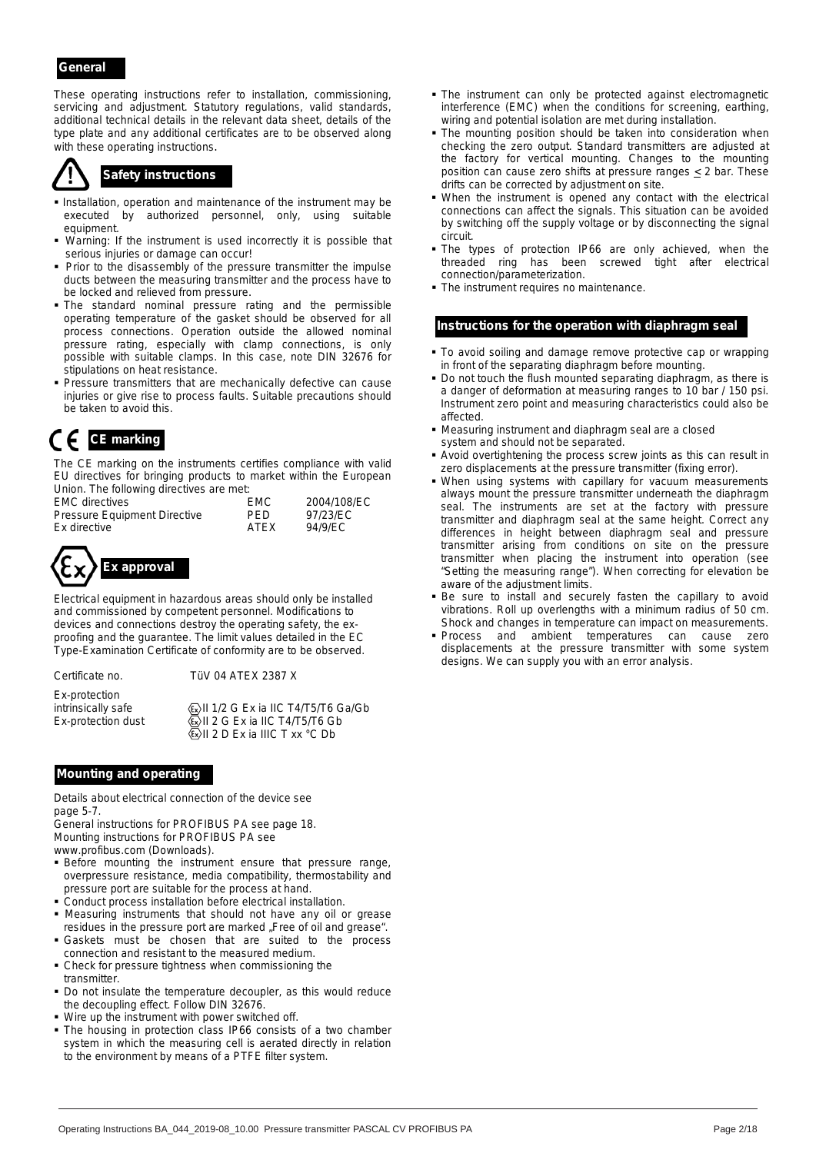### *General*

These operating instructions refer to installation, commissioning, servicing and adjustment. Statutory regulations, valid standards, additional technical details in the relevant data sheet, details of the type plate and any additional certificates are to be observed along with these operating instructions.



- **Installation, operation and maintenance of the instrument may be** executed by authorized personnel, only, using suitable equipment.
- Warning: If the instrument is used incorrectly it is possible that serious injuries or damage can occur!
- **Prior to the disassembly of the pressure transmitter the impulse** ducts between the measuring transmitter and the process have to be locked and relieved from pressure.
- The standard nominal pressure rating and the permissible operating temperature of the gasket should be observed for all process connections. Operation outside the allowed nominal pressure rating, especially with clamp connections, is only possible with suitable clamps. In this case, note DIN 32676 for stipulations on heat resistance.
- **Pressure transmitters that are mechanically defective can cause** injuries or give rise to process faults. Suitable precautions should be taken to avoid this.

The CE marking on the instruments certifies compliance with valid EU directives for bringing products to market within the European Union. The following directives are met:

| <b>EMC</b> directives               | <b>EMC</b>  | 2004/108/EC |
|-------------------------------------|-------------|-------------|
| <b>Pressure Equipment Directive</b> | PFD.        | 97/23/EC    |
| Ex directive                        | <b>ATFX</b> | 94/9/EC     |



Electrical equipment in hazardous areas should only be installed and commissioned by competent personnel. Modifications to devices and connections destroy the operating safety, the exproofing and the guarantee. The limit values detailed in the EC Type-Examination Certificate of conformity are to be observed.

Certificate no. TüV 04 ATEX 2387 X

Ex-protection

intrinsically safe  $\langle \overline{\xi_2} \rangle$ II 1/2 G Ex ia IIC T4/T5/T6 Ga/Gb Ex-protection dust  $\langle x \rangle$  II 2 G Ex ia IIC T4/T5/T6 Gb  $\langle \overline{\mathbb{R}} \rangle$ II 2 D Ex ia IIIC T xx °C Db

### *Mounting and operating*

Details about electrical connection of the device see page 5-7.

General instructions for PROFIBUS PA see page 18. Mounting instructions for PROFIBUS PA see

www.profibus.com (Downloads).

- **Before mounting the instrument ensure that pressure range,** overpressure resistance, media compatibility, thermostability and pressure port are suitable for the process at hand.
- Conduct process installation before electrical installation.
- Measuring instruments that should not have any oil or grease residues in the pressure port are marked "Free of oil and grease".
- Gaskets must be chosen that are suited to the process connection and resistant to the measured medium.
- Check for pressure tightness when commissioning the transmitter.
- Do not insulate the temperature decoupler, as this would reduce the decoupling effect. Follow DIN 32676.
- Wire up the instrument with power switched off.
- The housing in protection class IP66 consists of a two chamber system in which the measuring cell is aerated directly in relation to the environment by means of a PTFE filter system.
- The instrument can only be protected against electromagnetic interference (EMC) when the conditions for screening, earthing, wiring and potential isolation are met during installation.
- The mounting position should be taken into consideration when checking the zero output. Standard transmitters are adjusted at the factory for vertical mounting. Changes to the mounting position can cause zero shifts at pressure ranges  $\leq$  2 bar. These **Safety instructions**<br>drifts can be corrected by adjustment on site.<br>drifts can be corrected by adjustment on site.
	- When the instrument is opened any contact with the electrical connections can affect the signals. This situation can be avoided by switching off the supply voltage or by disconnecting the signal circuit.
	- The types of protection IP66 are only achieved, when the threaded ring has been screwed tight after electrical connection/parameterization.
	- $\blacksquare$  The instrument requires no maintenance.

#### *Instructions for the operation with diaphragm seal*

- To avoid soiling and damage remove protective cap or wrapping in front of the separating diaphragm before mounting.
- Do not touch the flush mounted separating diaphragm, as there is a danger of deformation at measuring ranges to 10 bar / 150 psi. Instrument zero point and measuring characteristics could also be affected.
- **CE marking CE marking CE marking SUPE 1999 CE marking CE marking SUPE 1999 SUPE 1999 SUPE 1999 SUPE 1999 SUPE 1999 SUPE 1999 SUPE 1999 SUPE 1999 SUPE 1999 SUPE 1999 SUPE 1999 SUPE 1999**
	- Avoid overtightening the process screw joints as this can result in zero displacements at the pressure transmitter (fixing error).
	- When using systems with capillary for vacuum measurements always mount the pressure transmitter underneath the diaphragm seal. The instruments are set at the factory with pressure transmitter and diaphragm seal at the same height. Correct any differences in height between diaphragm seal and pressure transmitter arising from conditions on site on the pressure transmitter when placing the instrument into operation (see "Setting the measuring range"). When correcting for elevation be aware of the adjustment limits.
	- Be sure to install and securely fasten the capillary to avoid vibrations. Roll up overlengths with a minimum radius of 50 cm. Shock and changes in temperature can impact on measurements.
	- **Process** and ambient temperatures can cause zero displacements at the pressure transmitter with some system designs. We can supply you with an error analysis.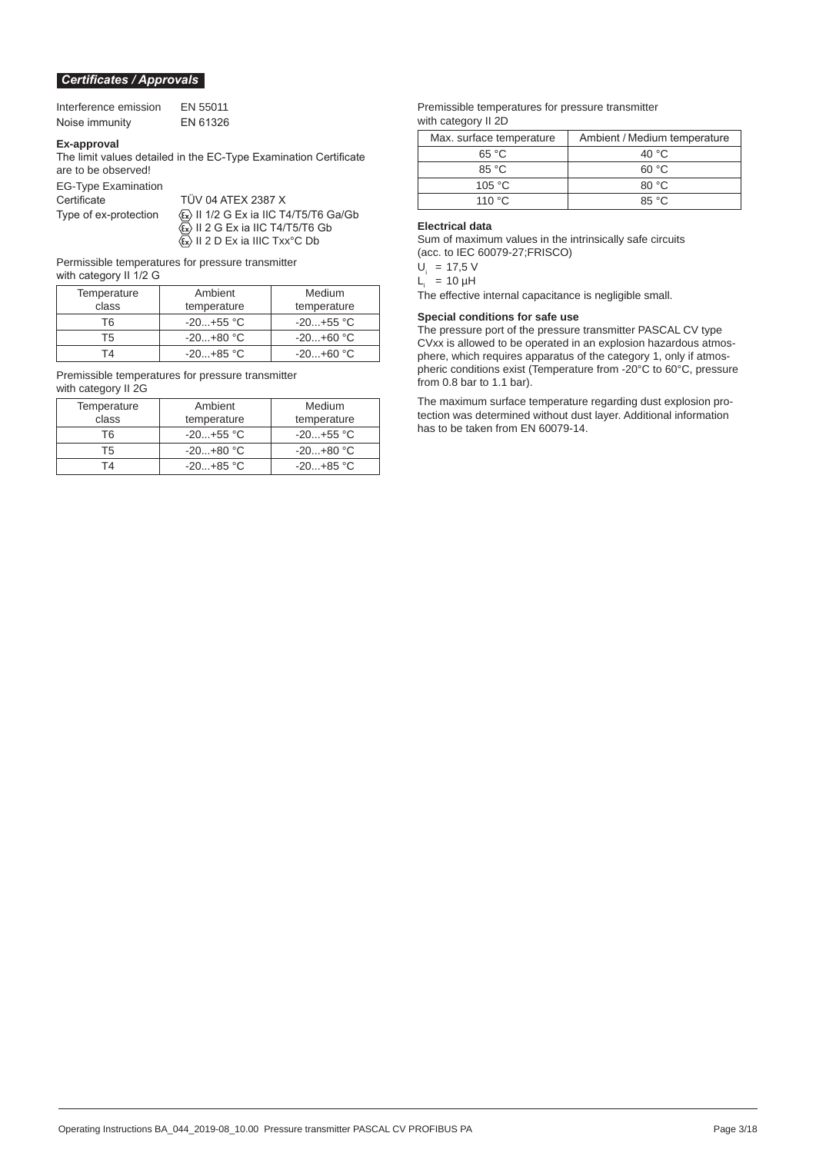#### *Certificates / Approvals*

| Interference emission | EN 55011 |
|-----------------------|----------|
| Noise immunity        | EN 61326 |

#### **Ex-approval**

The limit values detailed in the EC-Type Examination Certificate are to be observed!

TÜV 04 ATEX 2387 X

EG-Type Examination

Type of ex-protection  $\langle \overline{\epsilon_x} \rangle$  II 1/2 G Ex ia IIC T4/T5/T6 Ga/Gb  $\langle \xi_x \rangle$  II 2 G Ex ia IIC T4/T5/T6 Gb  $\langle \epsilon_{\mathsf{x}} \rangle$  II 2 D Ex ia IIIC Txx°C Db

Permissible temperatures for pressure transmitter

with category II 1/2 G

| Temperature<br>class | Ambient<br>temperature | Medium<br>temperature |
|----------------------|------------------------|-----------------------|
| T6.                  | $-20+55$ °C            | $-20+55$ °C           |
| Τ5                   | $-20+80$ °C            | $-20+60$ °C           |
| T4                   | $-20+85$ °C            | $-20+60$ °C           |

Premissible temperatures for pressure transmitter with category II 2G

| Temperature | Ambient     | Medium      |
|-------------|-------------|-------------|
| class       | temperature | temperature |
| T6          | $-20+55$ °C | $-20+55$ °C |
| T5          | $-20+80 °C$ | $-20+80 °C$ |
| T4          | $-20+85$ °C | $-20+85$ °C |

Premissible temperatures for pressure transmitter with category II 2D

| Max. surface temperature | Ambient / Medium temperature |
|--------------------------|------------------------------|
| 65 °C                    | 40 $\degree$ C               |
| $85^{\circ}$ C           | 60 °C                        |
| 105 $°C$                 | 80 °C                        |
| 110 $\degree$ C          | 85 °C                        |

#### **Electrical data**

Sum of maximum values in the intrinsically safe circuits (acc. to IEC 60079-27;FRISCO)

 $U_i$  = 17,5 V

 $L_i = 10 \mu H$ 

The effective internal capacitance is negligible small.

#### **Special conditions for safe use**

The pressure port of the pressure transmitter PASCAL CV type CVxx is allowed to be operated in an explosion hazardous atmosphere, which requires apparatus of the category 1, only if atmospheric conditions exist (Temperature from -20°C to 60°C, pressure from 0.8 bar to 1.1 bar).

The maximum surface temperature regarding dust explosion protection was determined without dust layer. Additional information has to be taken from EN 60079-14.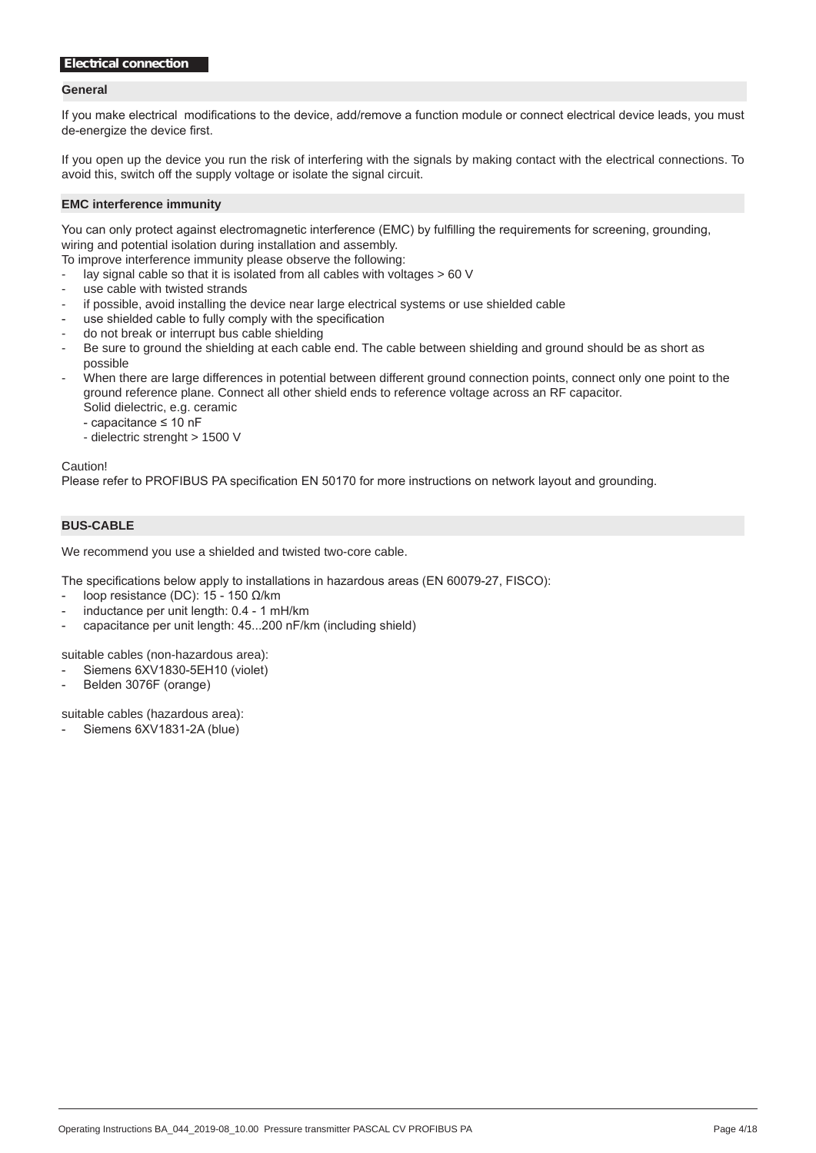#### **General**

If you make electrical modifications to the device, add/remove a function module or connect electrical device leads, you must de-energize the device first.

If you open up the device you run the risk of interfering with the signals by making contact with the electrical connections. To avoid this, switch off the supply voltage or isolate the signal circuit.

#### **EMC interference immunity**

You can only protect against electromagnetic interference (EMC) by fulfilling the requirements for screening, grounding, wiring and potential isolation during installation and assembly.

To improve interference immunity please observe the following:

- lay signal cable so that it is isolated from all cables with voltages > 60 V
- use cable with twisted strands
- if possible, avoid installing the device near large electrical systems or use shielded cable
- use shielded cable to fully comply with the specification
- do not break or interrupt bus cable shielding
- Be sure to ground the shielding at each cable end. The cable between shielding and ground should be as short as possible
- When there are large differences in potential between different ground connection points, connect only one point to the ground reference plane. Connect all other shield ends to reference voltage across an RF capacitor. Solid dielectric, e.g. ceramic
	- capacitance ≤ 10 nF
	- dielectric strenght > 1500 V

Caution!

Please refer to PROFIBUS PA specification EN 50170 for more instructions on network layout and grounding.

#### **BUS-CABLE**

We recommend you use a shielded and twisted two-core cable.

The specifications below apply to installations in hazardous areas (EN 60079-27, FISCO):

- loop resistance (DC):  $15 150$  Ω/km
- inductance per unit length: 0.4 1 mH/km
- capacitance per unit length: 45...200 nF/km (including shield)

suitable cables (non-hazardous area):

- Siemens 6XV1830-5EH10 (violet)
- Belden 3076F (orange)

suitable cables (hazardous area):

Siemens 6XV1831-2A (blue)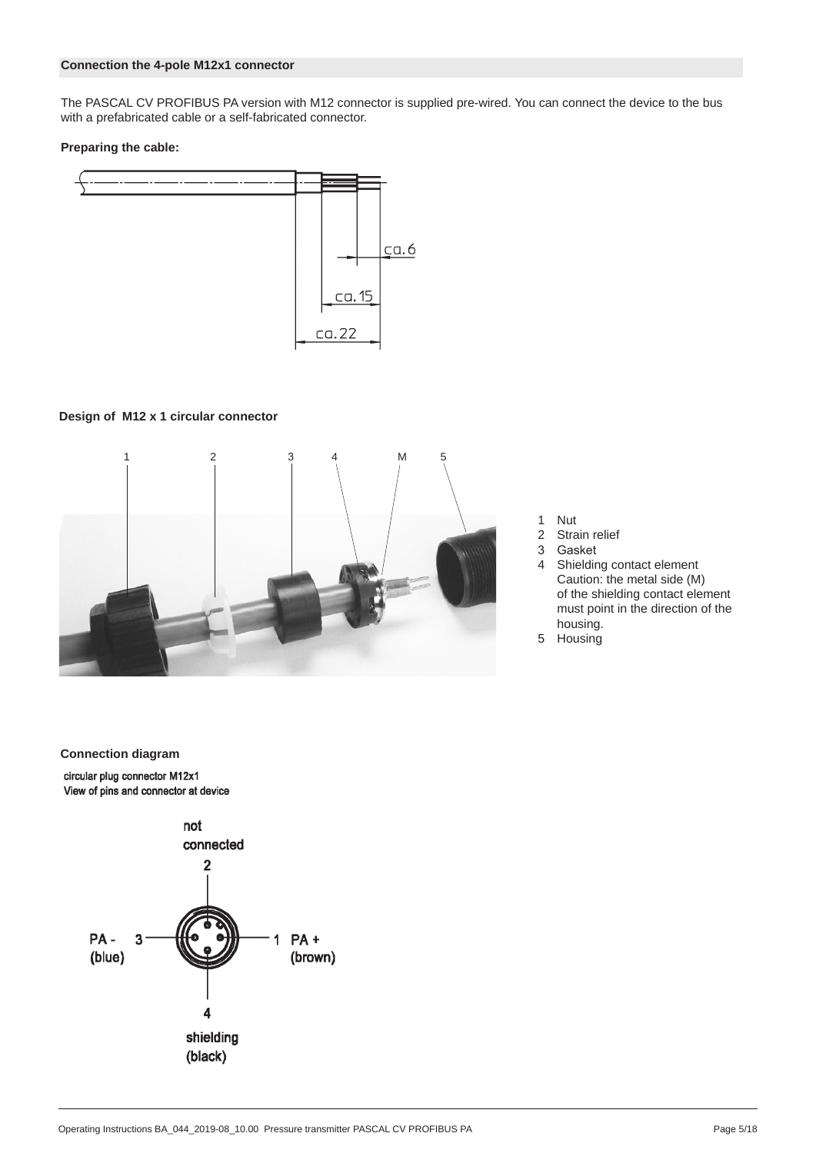#### **Connection the 4-pole M12x1 connector**

The PASCAL CV PROFIBUS PA version with M12 connector is supplied pre-wired. You can connect the device to the bus with a prefabricated cable or a self-fabricated connector.

#### **Preparing the cable:**



### **Design of M12 x 1 circular connector**



- 1 Nut<br>2 Stra
- 2 Strain relief<br>3 Gasket
- **Gasket**
- 4 Shielding contact element Caution: the metal side (M) of the shielding contact element must point in the direction of the housing.
- 5 Housing

#### **Connection diagram**

circular plug connector M12x1 View of pins and connector at device

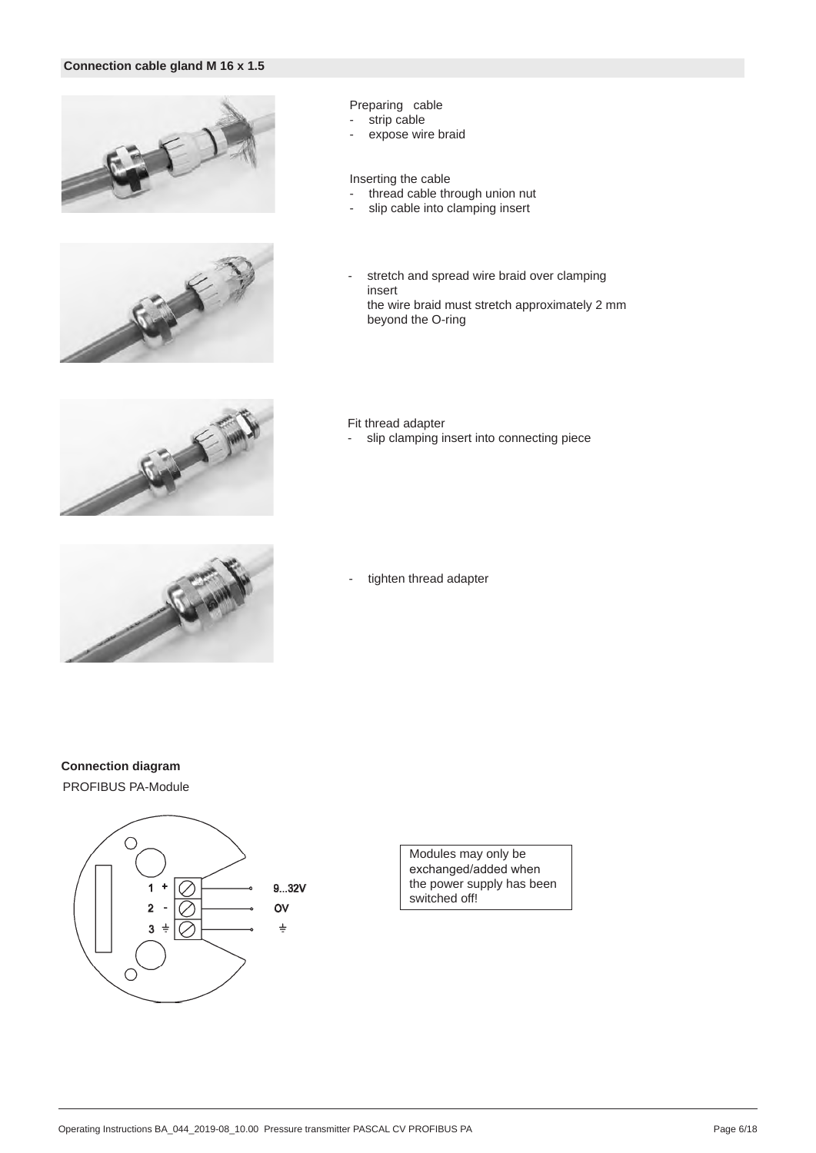#### **Connection cable gland M 16 x 1.5**





#### Preparing cable

- strip cable
- expose wire braid

#### Inserting the cable

- thread cable through union nut
- slip cable into clamping insert
- stretch and spread wire braid over clamping insert the wire braid must stretch approximately 2 mm beyond the O-ring



#### Fit thread adapter

- slip clamping insert into connecting piece



tighten thread adapter

### **Connection diagram**

PROFIBUS PA-Module



Modules may only be exchanged/added when the power supply has been switched off!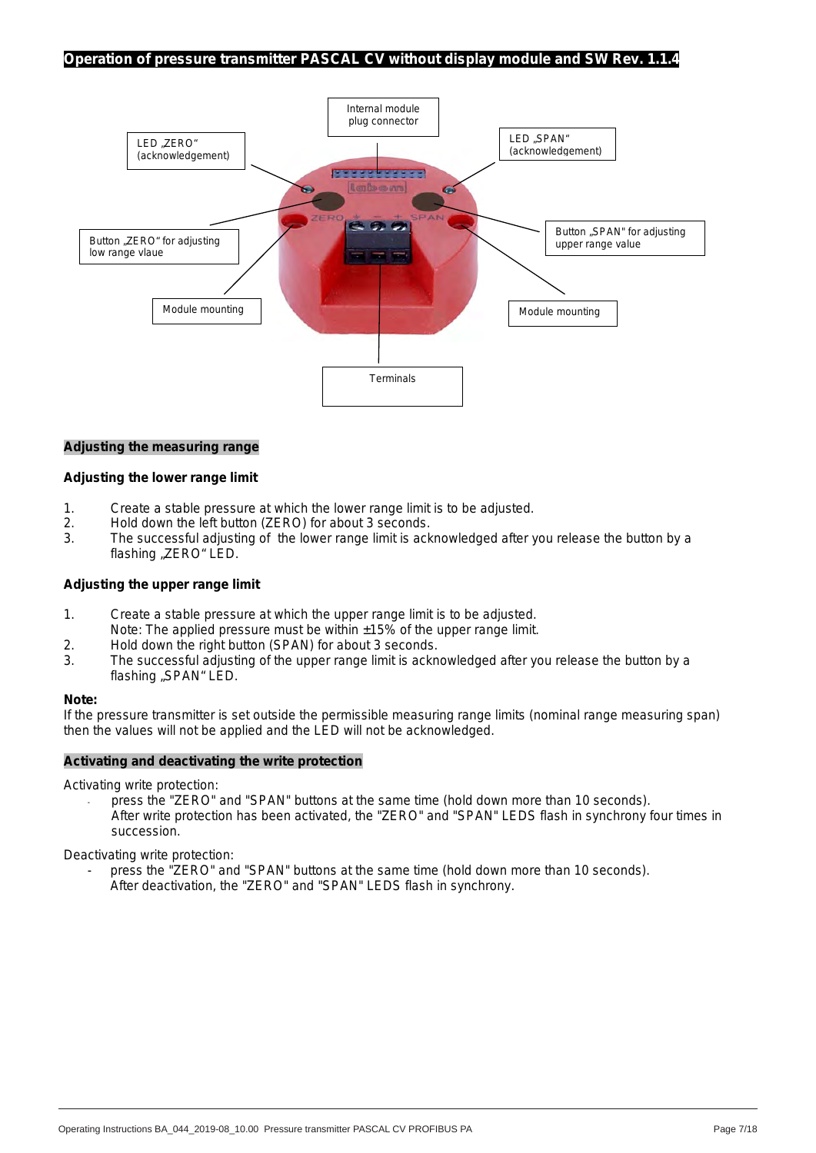#### **Operation of pressure transmitter PASCAL CV without display module and SW Rev. 1.1.4**



#### **Adjusting the measuring range**

#### **Adjusting the lower range limit**

- 1. Create a stable pressure at which the lower range limit is to be adjusted.
- 2. Hold down the left button (ZERO) for about 3 seconds.<br>3. The successful adjusting of the lower range limit is ack
- The successful adjusting of the lower range limit is acknowledged after you release the button by a flashing "ZERO" LED.

#### **Adjusting the upper range limit**

- 1. Create a stable pressure at which the upper range limit is to be adjusted. Note: The applied pressure must be within  $\pm 15\%$  of the upper range limit.
- 2. Hold down the right button (SPAN) for about 3 seconds.
- 3. The successful adjusting of the upper range limit is acknowledged after you release the button by a flashing "SPAN" LED.

#### **Note:**

If the pressure transmitter is set outside the permissible measuring range limits (nominal range measuring span) then the values will not be applied and the LED will not be acknowledged.

#### **Activating and deactivating the write protection**

Activating write protection:

press the "ZERO" and "SPAN" buttons at the same time (hold down more than 10 seconds). After write protection has been activated, the "ZERO" and "SPAN" LEDS flash in synchrony four times in succession.

Deactivating write protection:

press the "ZERO" and "SPAN" buttons at the same time (hold down more than 10 seconds). After deactivation, the "ZERO" and "SPAN" LEDS flash in synchrony.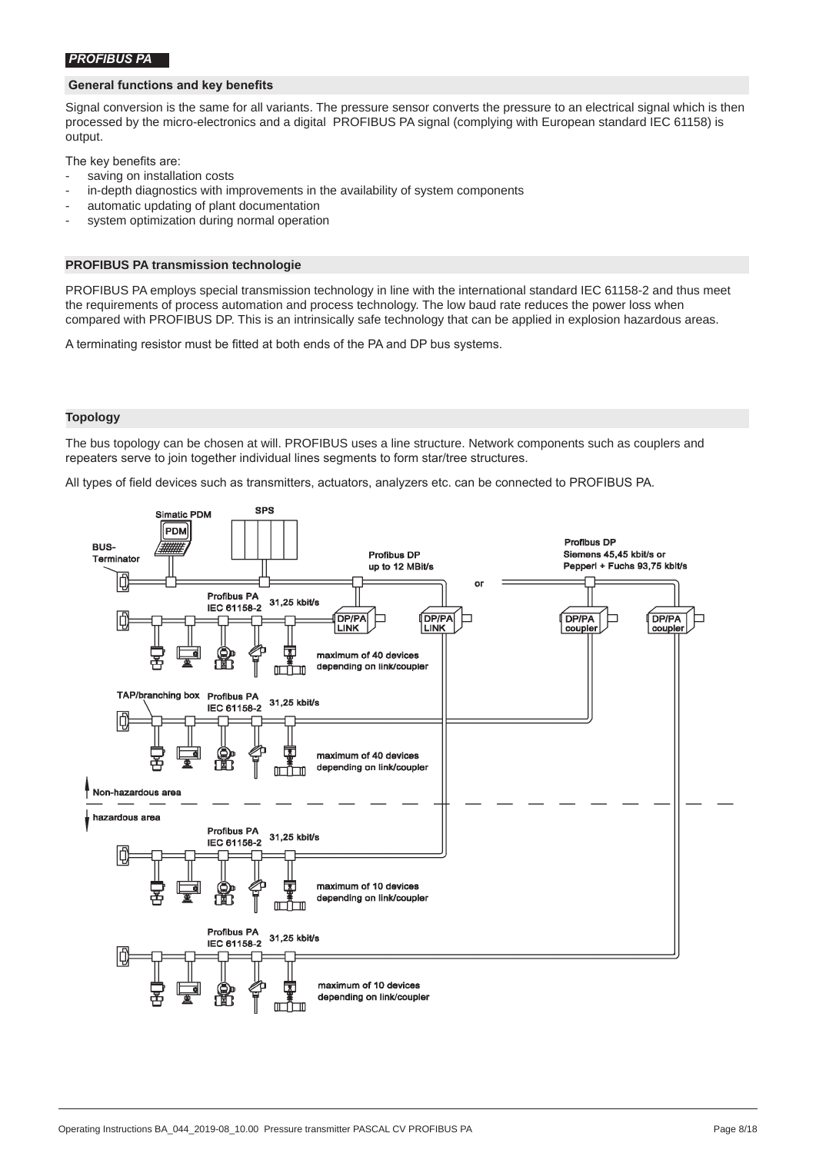#### *PROFIBUS PA*

#### **General functions and key benefits**

Signal conversion is the same for all variants. The pressure sensor converts the pressure to an electrical signal which is then processed by the micro-electronics and a digital PROFIBUS PA signal (complying with European standard IEC 61158) is output.

The key benefits are:

- saving on installation costs
- in-depth diagnostics with improvements in the availability of system components
- automatic updating of plant documentation
- system optimization during normal operation

#### **PROFIBUS PA transmission technologie**

PROFIBUS PA employs special transmission technology in line with the international standard IEC 61158-2 and thus meet the requirements of process automation and process technology. The low baud rate reduces the power loss when compared with PROFIBUS DP. This is an intrinsically safe technology that can be applied in explosion hazardous areas.

A terminating resistor must be fitted at both ends of the PA and DP bus systems.

#### **Topology**

The bus topology can be chosen at will. PROFIBUS uses a line structure. Network components such as couplers and repeaters serve to join together individual lines segments to form star/tree structures.

All types of field devices such as transmitters, actuators, analyzers etc. can be connected to PROFIBUS PA.

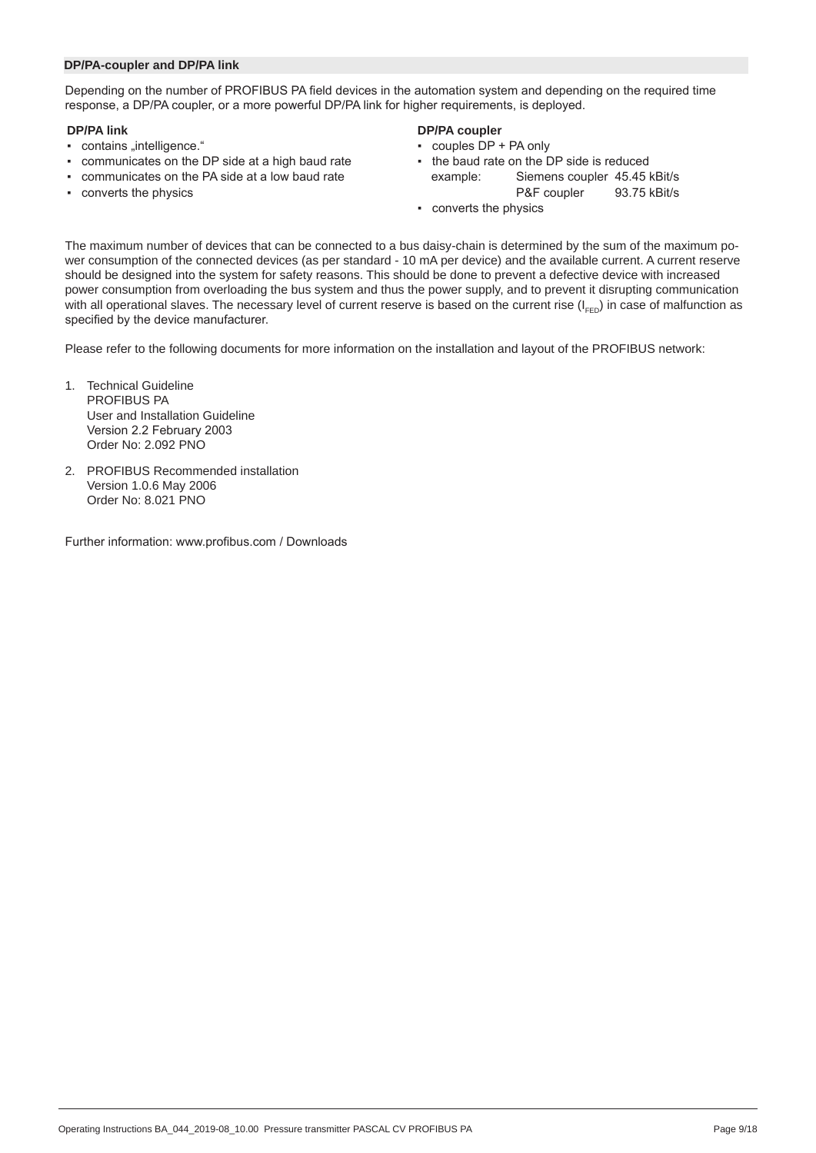#### **DP/PA-coupler and DP/PA link**

Depending on the number of PROFIBUS PA field devices in the automation system and depending on the required time response, a DP/PA coupler, or a more powerful DP/PA link for higher requirements, is deployed.

- **DP/PA link**<br> **DP/PA coupler**<br> **DP/PA couples**<br> **DP/PA couples**<br> **DP/PA coupler**<br> **DP/PA couples**<br> **DP** + PA only
- contains "intelligence."<br>• communicates on the DP side at a high baud rate **•** the baud rate on the DP side is reduced  $\cdot$  communicates on the DP side at a high baud rate  $\cdot$
- communicates on the PA side at a low baud rate example: Siemens coupler 45.45 kBit/s
- **•** converts the physics **Solution Converts** the physics **P&F** coupler **93.75** kBit/s

- 
- 
- converts the physics

The maximum number of devices that can be connected to a bus daisy-chain is determined by the sum of the maximum power consumption of the connected devices (as per standard - 10 mA per device) and the available current. A current reserve should be designed into the system for safety reasons. This should be done to prevent a defective device with increased power consumption from overloading the bus system and thus the power supply, and to prevent it disrupting communication with all operational slaves. The necessary level of current reserve is based on the current rise  $(I_{FED})$  in case of malfunction as specified by the device manufacturer.

Please refer to the following documents for more information on the installation and layout of the PROFIBUS network:

- 1. Technical Guideline PROFIBUS PA User and Installation Guideline Version 2.2 February 2003 Order No: 2.092 PNO
- 2. PROFIBUS Recommended installation Version 1.0.6 May 2006 Order No: 8.021 PNO

Further information: www.profibus.com / Downloads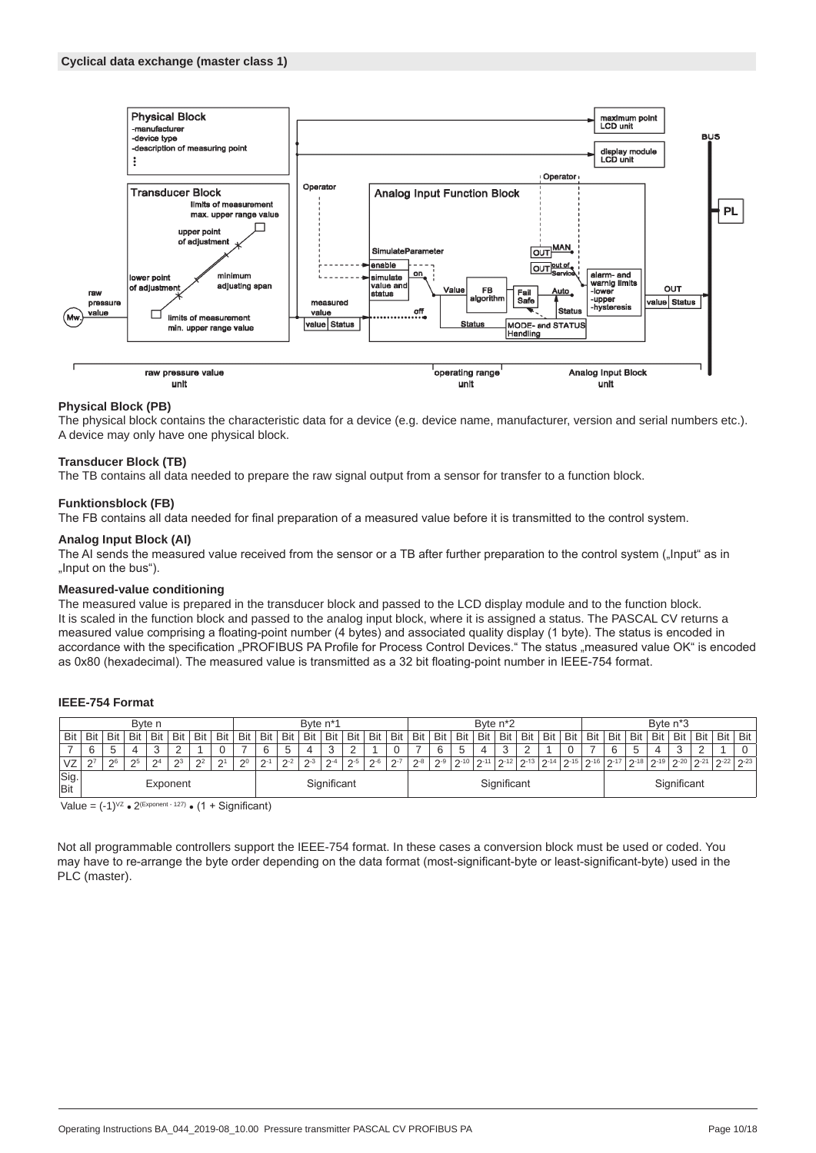

#### **Physical Block (PB)**

The physical block contains the characteristic data for a device (e.g. device name, manufacturer, version and serial numbers etc.). A device may only have one physical block.

#### **Transducer Block (TB)**

The TB contains all data needed to prepare the raw signal output from a sensor for transfer to a function block.

#### **Funktionsblock (FB)**

The FB contains all data needed for final preparation of a measured value before it is transmitted to the control system.

#### **Analog Input Block (AI)**

The AI sends the measured value received from the sensor or a TB after further preparation to the control system ("Input" as in "Input on the bus").

#### **Measured-value conditioning**

The measured value is prepared in the transducer block and passed to the LCD display module and to the function block. It is scaled in the function block and passed to the analog input block, where it is assigned a status. The PASCAL CV returns a measured value comprising a floating-point number (4 bytes) and associated quality display (1 byte). The status is encoded in accordance with the specification "PROFIBUS PA Profile for Process Control Devices." The status "measured value OK" is encoded as 0x80 (hexadecimal). The measured value is transmitted as a 32 bit floating-point number in IEEE-754 format.

#### **IEEE-754 Format**

|                    |                         |                     |     | Byte n      |        |             |          |          |            |         | Byte n <sup>*1</sup> |             |         |       |         |         |         |          | Byte n <sup>*2</sup> |     |          |          |            |     |                                         |     | Byte n <sup>*</sup> 3 |        |     |          |            |
|--------------------|-------------------------|---------------------|-----|-------------|--------|-------------|----------|----------|------------|---------|----------------------|-------------|---------|-------|---------|---------|---------|----------|----------------------|-----|----------|----------|------------|-----|-----------------------------------------|-----|-----------------------|--------|-----|----------|------------|
| Bit                | Bit                     | Bit                 | Bit | Bit         | Bit    | Bit         | Bit      | Bit      | <b>Bit</b> | Bit     | Bit                  | Bit         | Bit     | Bit   | Bit     | Bit     | Bit     | Bit      | Bit                  | Bit | Bit      | Bit      | <b>Bit</b> | Bit | Bit                                     | Bit | Bit                   | Bit    | Bit | Bit      | <b>Bit</b> |
|                    | 6                       | $\overline{ }$<br>◡ |     | $\sqrt{2}$  | $\sim$ |             |          |          |            | đ       |                      | $\sim$<br>J |         |       | ⌒       |         |         | b        |                      |     | $\sim$   |          |            |     | G                                       |     |                       | $\sim$ |     |          |            |
| VZ                 | 27                      | 26                  | 25  | $\Omega$    | $2^3$  | $2^{\circ}$ | $\Omega$ | $\Omega$ | $2 - 1$    | $2 - 2$ | $D-3$                | $\Omega$ -4 | $2 - 5$ | $D-6$ | $2 - 7$ | $2 - 8$ | $2 - 9$ | $2 - 10$ | $2 - 11$             | 121 | $2 - 13$ | $2 - 14$ |            |     | つ‐15   つ‐16   つ‐17   つ‐18   つ‐19   つ‐20 |     |                       |        | 211 | $2 - 22$ | $2 - 23$   |
| Sig.<br><b>Bit</b> | Significant<br>Exponent |                     |     | Significant |        |             |          |          |            |         | Significant          |             |         |       |         |         |         |          |                      |     |          |          |            |     |                                         |     |                       |        |     |          |            |

Value =  $(-1)^{VZ}$  •  $2^{(Exponent - 127)}$  •  $(1 +$  Significant)

Not all programmable controllers support the IEEE-754 format. In these cases a conversion block must be used or coded. You may have to re-arrange the byte order depending on the data format (most-significant-byte or least-significant-byte) used in the PLC (master).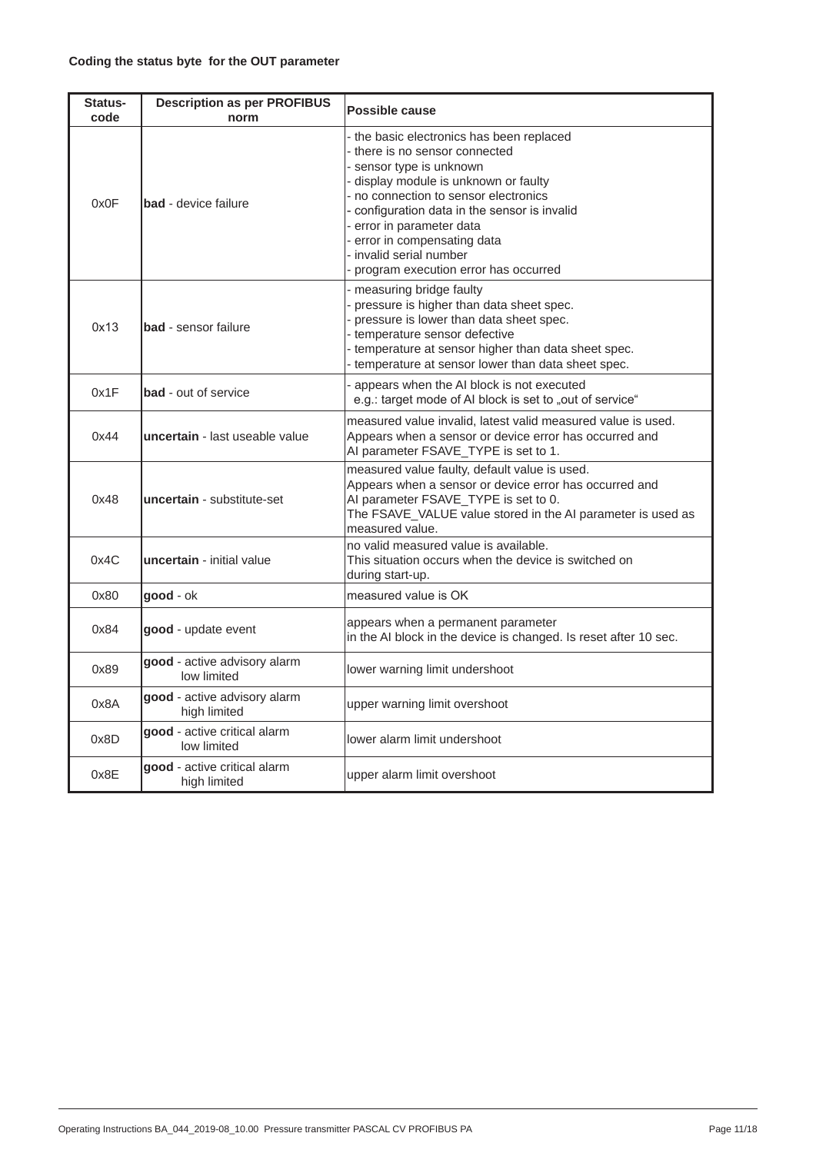| Status-<br>code | <b>Description as per PROFIBUS</b><br>norm   | <b>Possible cause</b>                                                                                                                                                                                                                                                                                                                                            |
|-----------------|----------------------------------------------|------------------------------------------------------------------------------------------------------------------------------------------------------------------------------------------------------------------------------------------------------------------------------------------------------------------------------------------------------------------|
| 0x0F            | <b>bad</b> - device failure                  | the basic electronics has been replaced<br>- there is no sensor connected<br>sensor type is unknown<br>display module is unknown or faulty<br>- no connection to sensor electronics<br>configuration data in the sensor is invalid<br>- error in parameter data<br>error in compensating data<br>- invalid serial number<br>program execution error has occurred |
| 0x13            | <b>bad</b> - sensor failure                  | measuring bridge faulty<br>pressure is higher than data sheet spec.<br>pressure is lower than data sheet spec.<br>- temperature sensor defective<br>- temperature at sensor higher than data sheet spec.<br>- temperature at sensor lower than data sheet spec.                                                                                                  |
| 0x1F            | <b>bad</b> - out of service                  | appears when the AI block is not executed<br>e.g.: target mode of AI block is set to "out of service"                                                                                                                                                                                                                                                            |
| 0x44            | uncertain - last useable value               | measured value invalid, latest valid measured value is used.<br>Appears when a sensor or device error has occurred and<br>AI parameter FSAVE_TYPE is set to 1.                                                                                                                                                                                                   |
| 0x48            | uncertain - substitute-set                   | measured value faulty, default value is used.<br>Appears when a sensor or device error has occurred and<br>AI parameter FSAVE_TYPE is set to 0.<br>The FSAVE_VALUE value stored in the AI parameter is used as<br>measured value.                                                                                                                                |
| 0x4C            | uncertain - initial value                    | no valid measured value is available.<br>This situation occurs when the device is switched on<br>during start-up.                                                                                                                                                                                                                                                |
| 0x80            | good - ok                                    | measured value is OK                                                                                                                                                                                                                                                                                                                                             |
| 0x84            | good - update event                          | appears when a permanent parameter<br>in the AI block in the device is changed. Is reset after 10 sec.                                                                                                                                                                                                                                                           |
| 0x89            | good - active advisory alarm<br>low limited  | lower warning limit undershoot                                                                                                                                                                                                                                                                                                                                   |
| A8x0            | good - active advisory alarm<br>high limited | upper warning limit overshoot                                                                                                                                                                                                                                                                                                                                    |
| 0x8D            | good - active critical alarm<br>low limited  | lower alarm limit undershoot                                                                                                                                                                                                                                                                                                                                     |
| 0x8E            | good - active critical alarm<br>high limited | upper alarm limit overshoot                                                                                                                                                                                                                                                                                                                                      |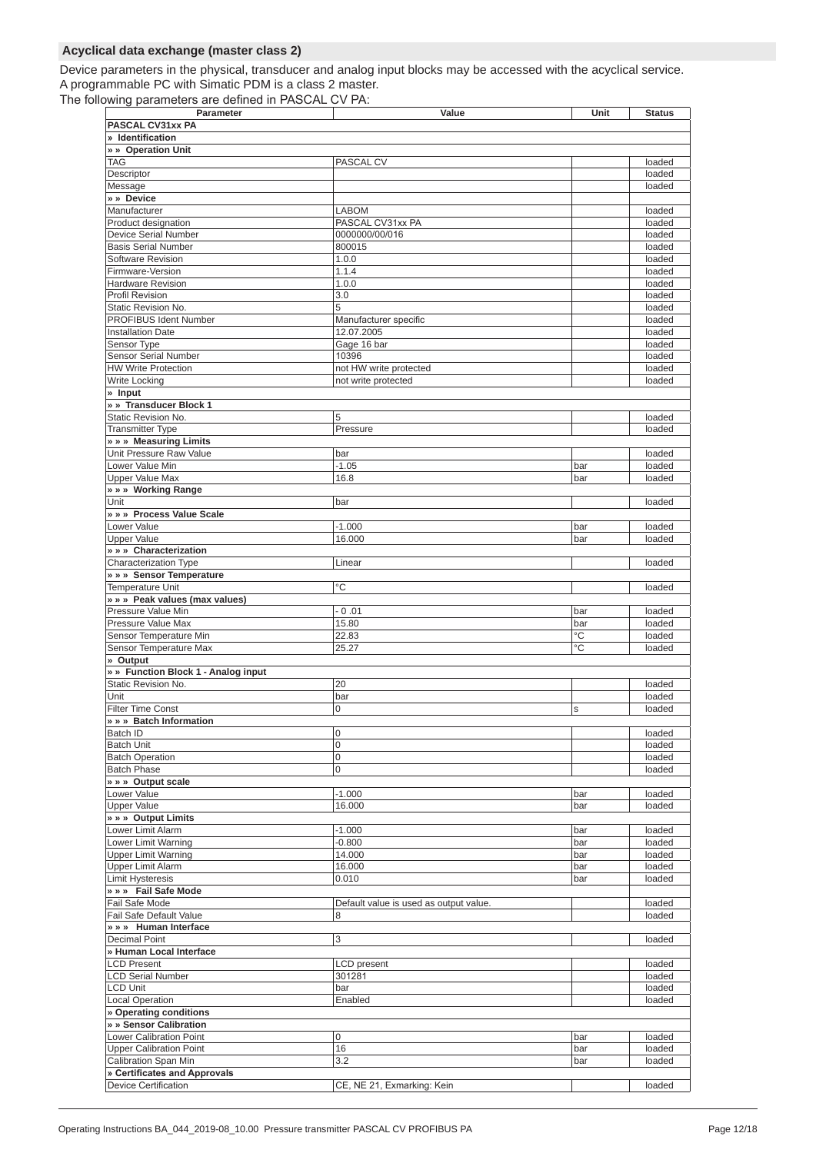### **Acyclical data exchange (master class 2)**

Device parameters in the physical, transducer and analog input blocks may be accessed with the acyclical service. A programmable PC with Simatic PDM is a class 2 master.

The following parameters are defined in PASCAL CV PA:

| Parameter                                                  | Value                                  | Unit | <b>Status</b>    |
|------------------------------------------------------------|----------------------------------------|------|------------------|
| PASCAL CV31xx PA                                           |                                        |      |                  |
| » Identification                                           |                                        |      |                  |
| » » Operation Unit                                         |                                        |      |                  |
| <b>TAG</b>                                                 | PASCAL CV                              |      | loaded           |
| Descriptor                                                 |                                        |      | loaded           |
| Message                                                    |                                        |      | loaded           |
| » » Device                                                 |                                        |      |                  |
| Manufacturer                                               | <b>LABOM</b><br>PASCAL CV31xx PA       |      | loaded           |
| Product designation<br>Device Serial Number                |                                        |      | loaded           |
| <b>Basis Serial Number</b>                                 | 0000000/00/016<br>800015               |      | loaded<br>loaded |
| Software Revision                                          | 1.0.0                                  |      | loaded           |
| Firmware-Version                                           | 1.1.4                                  |      | loaded           |
| <b>Hardware Revision</b>                                   | 1.0.0                                  |      | loaded           |
| <b>Profil Revision</b>                                     | 3.0                                    |      | loaded           |
| Static Revision No.                                        | 5                                      |      | loaded           |
| PROFIBUS Ident Number                                      | Manufacturer specific                  |      | loaded           |
| <b>Installation Date</b>                                   | 12.07.2005                             |      | loaded           |
| Sensor Type                                                | Gage 16 bar                            |      | loaded           |
| <b>Sensor Serial Number</b>                                | 10396                                  |      | loaded           |
| <b>HW Write Protection</b>                                 | not HW write protected                 |      | loaded           |
| Write Locking                                              | not write protected                    |      | loaded           |
| » Input                                                    |                                        |      |                  |
| » » Transducer Block 1                                     |                                        |      |                  |
| Static Revision No.                                        | 5                                      |      | loaded           |
| <b>Transmitter Type</b>                                    | Pressure                               |      | loaded           |
| » » » Measuring Limits                                     |                                        |      |                  |
| Unit Pressure Raw Value                                    | bar                                    |      | loaded           |
| Lower Value Min                                            | $-1.05$                                | bar  | loaded           |
| <b>Upper Value Max</b>                                     | 16.8                                   | bar  | loaded           |
| » » » Working Range                                        |                                        |      |                  |
| Unit                                                       | bar                                    |      | loaded           |
| » » » Process Value Scale                                  |                                        |      |                  |
| Lower Value                                                | $-1.000$                               | bar  | loaded           |
| <b>Upper Value</b>                                         | 16.000                                 | bar  | loaded           |
| » » Characterization                                       |                                        |      |                  |
| Characterization Type                                      | Linear                                 |      | loaded           |
| » » » Sensor Temperature                                   |                                        |      |                  |
| <b>Temperature Unit</b>                                    | $^{\circ}C$                            |      | loaded           |
| » » » Peak values (max values)                             |                                        |      |                  |
| Pressure Value Min                                         | $-0.01$                                | bar  | loaded           |
| Pressure Value Max                                         | 15.80                                  | bar  | loaded           |
| Sensor Temperature Min                                     | 22.83                                  | °C   | loaded           |
| Sensor Temperature Max                                     | 25.27                                  | °C   | loaded           |
| » Output                                                   |                                        |      |                  |
| » » Function Block 1 - Analog input<br>Static Revision No. | 20                                     |      | loaded           |
| Unit                                                       | bar                                    |      | loaded           |
| <b>Filter Time Const</b>                                   | $\overline{0}$                         | S    | loaded           |
| » » » Batch Information                                    |                                        |      |                  |
| Batch ID                                                   | 0                                      |      | loaded           |
| <b>Batch Unit</b>                                          | 0                                      |      | loaded           |
| <b>Batch Operation</b>                                     | 0                                      |      | loaded           |
| <b>Batch Phase</b>                                         | 0                                      |      | loaded           |
| » » » Output scale                                         |                                        |      |                  |
| Lower Value                                                | $-1.000$                               | bar  | loaded           |
| <b>Upper Value</b>                                         | 16.000                                 | bar  | loaded           |
| » » » Output Limits                                        |                                        |      |                  |
| Lower Limit Alarm                                          | $-1.000$                               | bar  | loaded           |
| Lower Limit Warning                                        | $-0.800$                               | bar  | loaded           |
| <b>Upper Limit Warning</b>                                 | 14.000                                 | bar  | loaded           |
| <b>Upper Limit Alarm</b>                                   | 16.000                                 | bar  | loaded           |
| <b>Limit Hysteresis</b>                                    | 0.010                                  | bar  | loaded           |
| » » » Fail Safe Mode                                       |                                        |      |                  |
| Fail Safe Mode                                             | Default value is used as output value. |      | loaded           |
| Fail Safe Default Value                                    | 8                                      |      | loaded           |
| » » Human Interface                                        |                                        |      |                  |
| <b>Decimal Point</b>                                       | 3                                      |      | loaded           |
| » Human Local Interface                                    |                                        |      |                  |
| <b>LCD Present</b>                                         | <b>LCD</b> present                     |      | loaded           |
| <b>LCD Serial Number</b>                                   | 301281                                 |      | loaded           |
| <b>LCD Unit</b>                                            | bar                                    |      | loaded           |
| <b>Local Operation</b>                                     | Enabled                                |      | loaded           |
| » Operating conditions                                     |                                        |      |                  |
| » » Sensor Calibration                                     |                                        |      |                  |
| <b>Lower Calibration Point</b>                             | 0                                      | bar  | loaded           |
| <b>Upper Calibration Point</b>                             | 16                                     | bar  | loaded           |
| Calibration Span Min                                       | 3.2                                    | bar  | loaded           |
| » Certificates and Approvals                               |                                        |      |                  |
| <b>Device Certification</b>                                | CE, NE 21, Exmarking: Kein             |      | loaded           |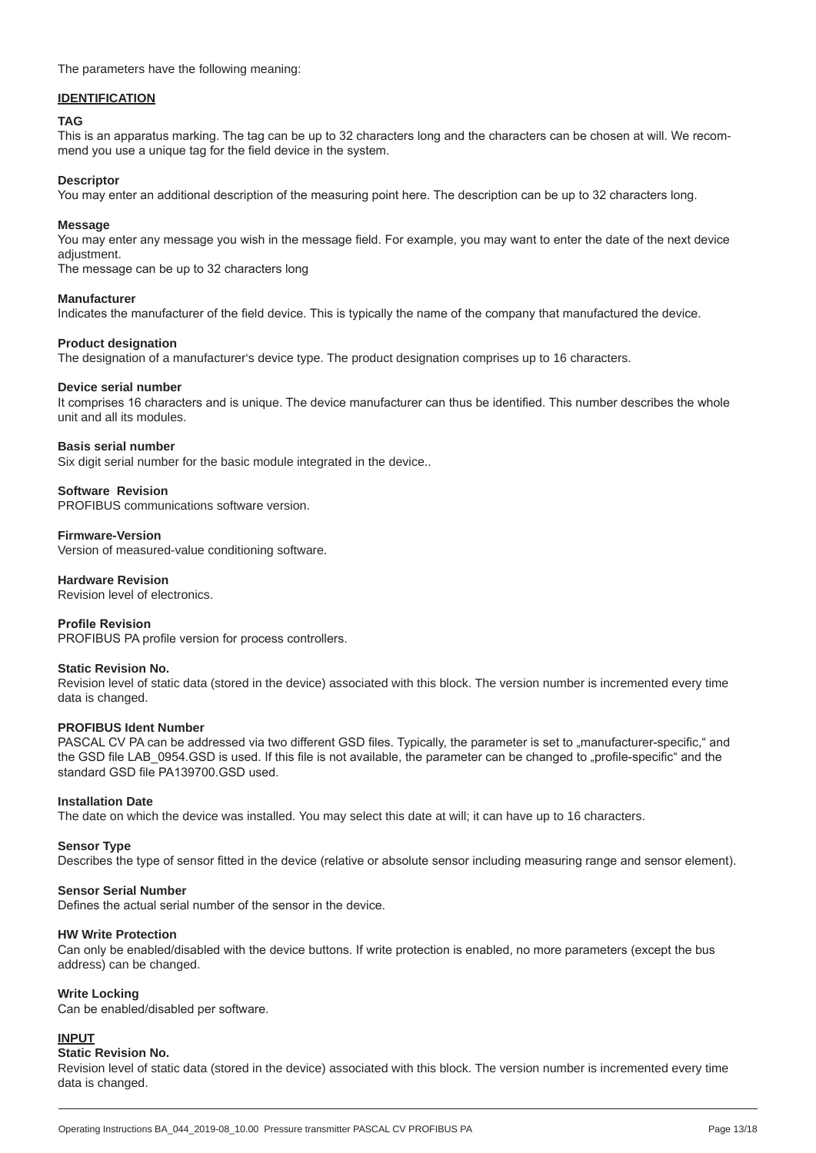The parameters have the following meaning:

#### **IDENTIFICATION**

#### **TAG**

This is an apparatus marking. The tag can be up to 32 characters long and the characters can be chosen at will. We recommend you use a unique tag for the field device in the system.

#### **Descriptor**

You may enter an additional description of the measuring point here. The description can be up to 32 characters long.

#### **Message**

You may enter any message you wish in the message field. For example, you may want to enter the date of the next device adjustment.

The message can be up to 32 characters long

#### **Manufacturer**

Indicates the manufacturer of the field device. This is typically the name of the company that manufactured the device.

#### **Product designation**

The designation of a manufacturer's device type. The product designation comprises up to 16 characters.

#### **Device serial number**

It comprises 16 characters and is unique. The device manufacturer can thus be identified. This number describes the whole unit and all its modules.

#### **Basis serial number**

Six digit serial number for the basic module integrated in the device..

#### **Software Revision**

PROFIBUS communications software version.

#### **Firmware-Version**

Version of measured-value conditioning software.

#### **Hardware Revision**

Revision level of electronics.

#### **Profile Revision**

PROFIBUS PA profile version for process controllers.

#### **Static Revision No.**

Revision level of static data (stored in the device) associated with this block. The version number is incremented every time data is changed.

#### **PROFIBUS Ident Number**

PASCAL CV PA can be addressed via two different GSD files. Typically, the parameter is set to "manufacturer-specific," and the GSD file LAB 0954.GSD is used. If this file is not available, the parameter can be changed to "profile-specific" and the standard GSD file PA139700.GSD used.

#### **Installation Date**

The date on which the device was installed. You may select this date at will; it can have up to 16 characters.

#### **Sensor Type**

Describes the type of sensor fitted in the device (relative or absolute sensor including measuring range and sensor element).

#### **Sensor Serial Number**

Defines the actual serial number of the sensor in the device.

#### **HW Write Protection**

Can only be enabled/disabled with the device buttons. If write protection is enabled, no more parameters (except the bus address) can be changed.

#### **Write Locking**

Can be enabled/disabled per software.

#### **INPUT**

#### **Static Revision No.**

Revision level of static data (stored in the device) associated with this block. The version number is incremented every time data is changed.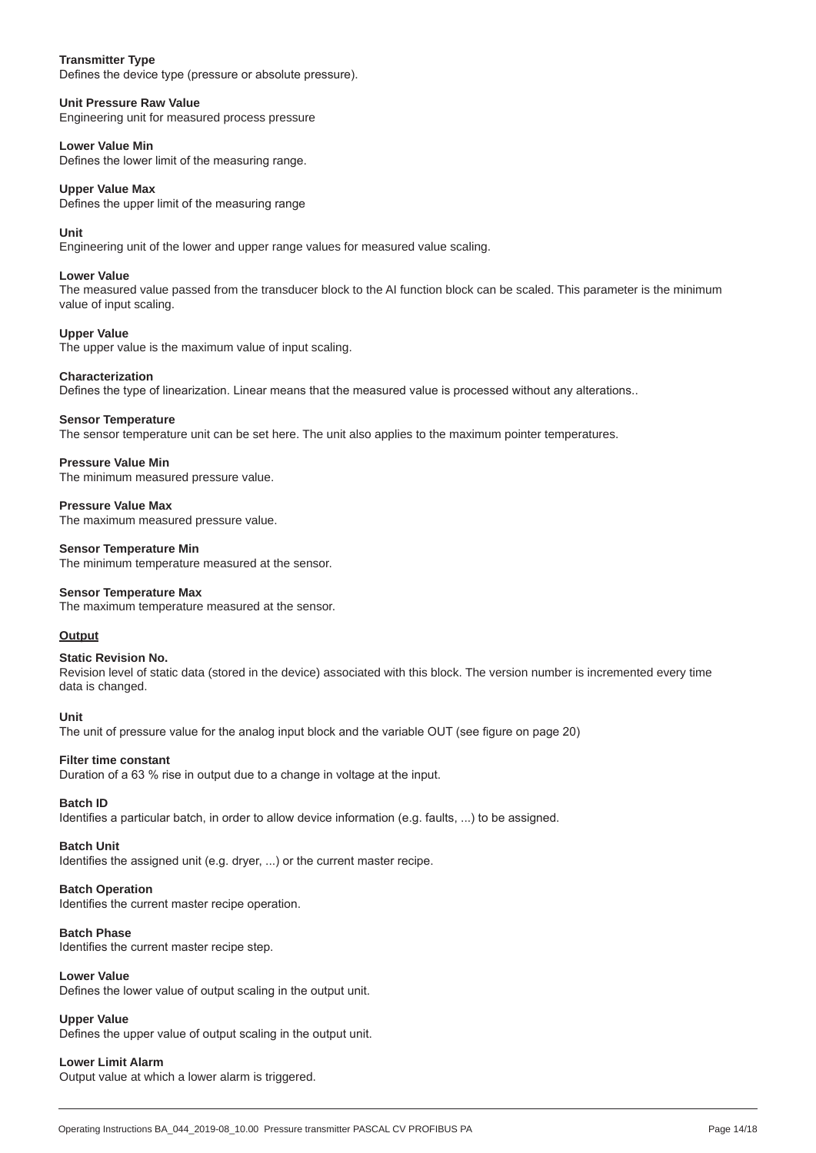#### **Transmitter Type**

Defines the device type (pressure or absolute pressure).

#### **Unit Pressure Raw Value**

Engineering unit for measured process pressure

#### **Lower Value Min**

Defines the lower limit of the measuring range.

#### **Upper Value Max**

Defines the upper limit of the measuring range

#### **Unit**

Engineering unit of the lower and upper range values for measured value scaling.

#### **Lower Value**

The measured value passed from the transducer block to the AI function block can be scaled. This parameter is the minimum value of input scaling.

#### **Upper Value**

The upper value is the maximum value of input scaling.

#### **Characterization**

Defines the type of linearization. Linear means that the measured value is processed without any alterations..

#### **Sensor Temperature**

The sensor temperature unit can be set here. The unit also applies to the maximum pointer temperatures.

#### **Pressure Value Min**

The minimum measured pressure value.

#### **Pressure Value Max**

The maximum measured pressure value.

#### **Sensor Temperature Min**

The minimum temperature measured at the sensor.

#### **Sensor Temperature Max**

The maximum temperature measured at the sensor.

#### **Output**

#### **Static Revision No.**

Revision level of static data (stored in the device) associated with this block. The version number is incremented every time data is changed.

#### **Unit**

The unit of pressure value for the analog input block and the variable OUT (see figure on page 20)

#### **Filter time constant**

Duration of a 63 % rise in output due to a change in voltage at the input.

#### **Batch ID**

Identifies a particular batch, in order to allow device information (e.g. faults, ...) to be assigned.

#### **Batch Unit**

Identifies the assigned unit (e.g. dryer, ...) or the current master recipe.

#### **Batch Operation**

Identifies the current master recipe operation.

#### **Batch Phase**

Identifies the current master recipe step.

#### **Lower Value**

Defines the lower value of output scaling in the output unit.

#### **Upper Value**

Defines the upper value of output scaling in the output unit.

#### **Lower Limit Alarm**

Output value at which a lower alarm is triggered.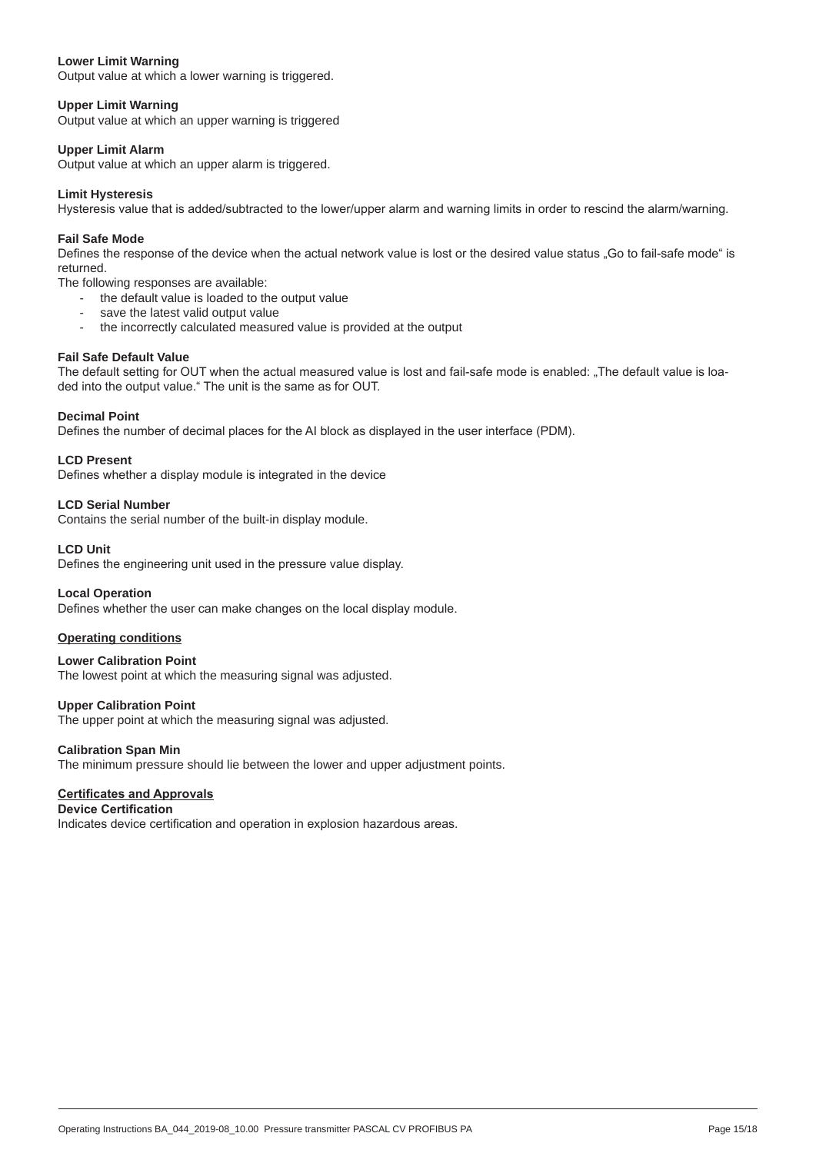#### **Lower Limit Warning**

Output value at which a lower warning is triggered.

#### **Upper Limit Warning**

Output value at which an upper warning is triggered

#### **Upper Limit Alarm**

Output value at which an upper alarm is triggered.

#### **Limit Hysteresis**

Hysteresis value that is added/subtracted to the lower/upper alarm and warning limits in order to rescind the alarm/warning.

#### **Fail Safe Mode**

Defines the response of the device when the actual network value is lost or the desired value status "Go to fail-safe mode" is returned.

- The following responses are available:
	- the default value is loaded to the output value
	- save the latest valid output value
	- the incorrectly calculated measured value is provided at the output

#### **Fail Safe Default Value**

The default setting for OUT when the actual measured value is lost and fail-safe mode is enabled: "The default value is loaded into the output value." The unit is the same as for OUT.

#### **Decimal Point**

Defines the number of decimal places for the AI block as displayed in the user interface (PDM).

**LCD Present**

Defines whether a display module is integrated in the device

#### **LCD Serial Number**

Contains the serial number of the built-in display module.

#### **LCD Unit**

Defines the engineering unit used in the pressure value display.

#### **Local Operation**

Defines whether the user can make changes on the local display module.

#### **Operating conditions**

**Lower Calibration Point** The lowest point at which the measuring signal was adjusted.

#### **Upper Calibration Point**

The upper point at which the measuring signal was adjusted.

#### **Calibration Span Min**

The minimum pressure should lie between the lower and upper adjustment points.

#### **Certificates and Approvals**

## **Device Certification**

Indicates device certification and operation in explosion hazardous areas.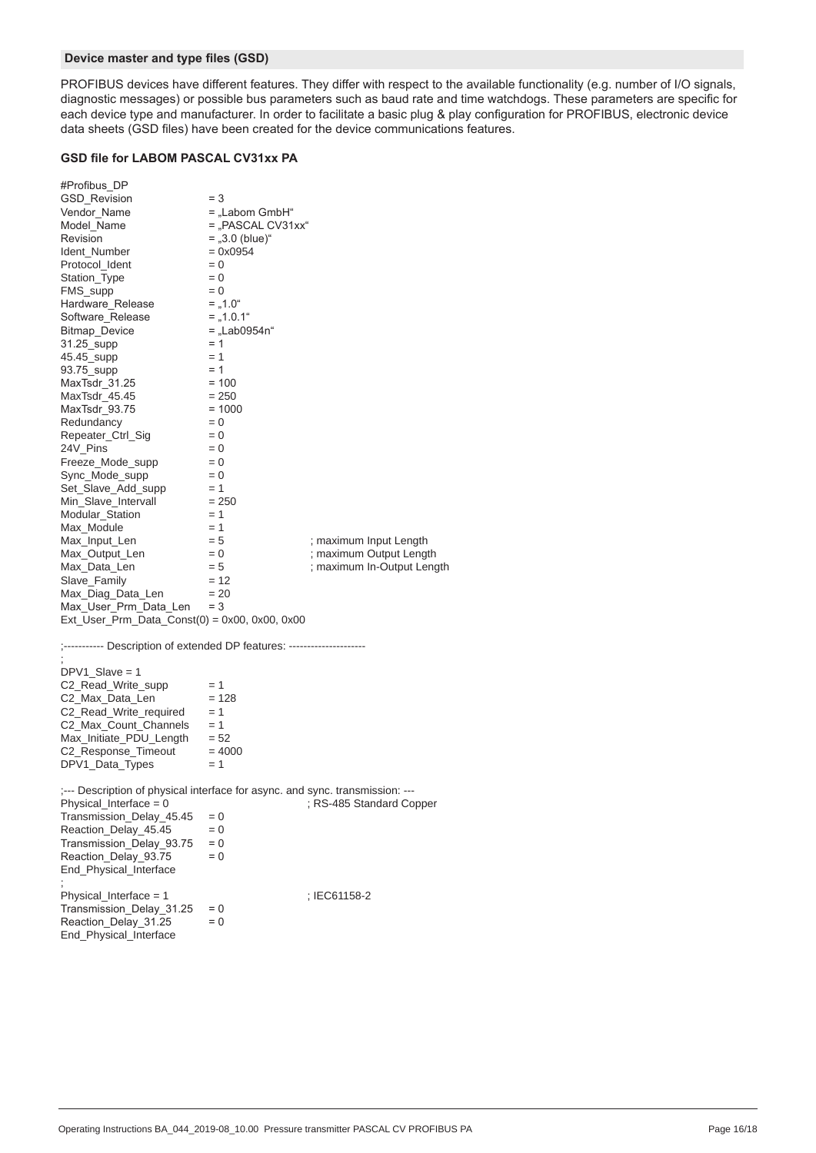#### **Device master and type files (GSD)**

PROFIBUS devices have different features. They differ with respect to the available functionality (e.g. number of I/O signals, diagnostic messages) or possible bus parameters such as baud rate and time watchdogs. These parameters are specific for each device type and manufacturer. In order to facilitate a basic plug & play configuration for PROFIBUS, electronic device data sheets (GSD files) have been created for the device communications features.

### **GSD file for LABOM PASCAL CV31xx PA**

| #Profibus_DP                                                                  |                     |                            |
|-------------------------------------------------------------------------------|---------------------|----------------------------|
| <b>GSD_Revision</b>                                                           | $=$ 3               |                            |
| Vendor_Name                                                                   | = "Labom GmbH"      |                            |
| Model_Name                                                                    | $=$ "PASCAL CV31xx" |                            |
| Revision                                                                      | $=$ "3.0 (blue)"    |                            |
| Ident_Number                                                                  | $= 0x0954$          |                            |
| Protocol_Ident                                                                | $= 0$               |                            |
| Station_Type                                                                  | $= 0$               |                            |
| FMS_supp                                                                      | $= 0$               |                            |
| Hardware_Release                                                              | $=$ , 1.0"          |                            |
| Software Release                                                              | $=$ , 1.0.1"        |                            |
| Bitmap_Device                                                                 | = "Lab0954n"        |                            |
| 31.25_supp                                                                    | $= 1$               |                            |
| 45.45_supp                                                                    | $= 1$               |                            |
| 93.75_supp                                                                    | $= 1$               |                            |
| MaxTsdr_31.25                                                                 | $= 100$             |                            |
| MaxTsdr_45.45                                                                 | $= 250$             |                            |
| MaxTsdr_93.75                                                                 | $= 1000$            |                            |
| Redundancy                                                                    | $= 0$               |                            |
| Repeater_Ctrl_Sig                                                             | $= 0$               |                            |
| 24V_Pins                                                                      | $= 0$               |                            |
| Freeze_Mode_supp                                                              | $= 0$               |                            |
| Sync_Mode_supp                                                                | $= 0$               |                            |
| Set_Slave_Add_supp                                                            | $= 1$               |                            |
| Min_Slave_Intervall                                                           | $= 250$             |                            |
| Modular_Station                                                               | $= 1$               |                            |
| Max Module                                                                    | $= 1$               |                            |
| Max_Input_Len                                                                 | $= 5$               | ; maximum Input Length     |
| Max_Output_Len                                                                | $= 0$               | ; maximum Output Length    |
| Max_Data_Len                                                                  | $= 5$               | ; maximum In-Output Length |
| Slave_Family                                                                  | $= 12$              |                            |
| Max_Diag_Data_Len                                                             | $= 20$              |                            |
| Max_User_Prm_Data_Len                                                         | $=$ 3               |                            |
| $Ext_{S} = \text{Prm}_{D}$ Data_Const(0) = 0x00, 0x00, 0x00                   |                     |                            |
|                                                                               |                     |                            |
| ;----------- Description of extended DP features: ---------------------       |                     |                            |
|                                                                               |                     |                            |
| $DPV1_Slave = 1$                                                              |                     |                            |
| C2_Read_Write_supp                                                            | $= 1$               |                            |
| C2_Max_Data_Len                                                               | $= 128$             |                            |
| $C2$ <sub>_Read</sub> _Write_required = 1                                     |                     |                            |
| C2_Max_Count_Channels                                                         | $= 1$               |                            |
| Max_Initiate_PDU_Length = 52                                                  |                     |                            |
| $C2$ <sub>Response</sub> Timeout = 4000                                       |                     |                            |
| DPV1_Data_Types                                                               | $= 1$               |                            |
|                                                                               |                     |                            |
| ;--- Description of physical interface for async. and sync. transmission: --- |                     |                            |
| Physical_Interface = 0                                                        |                     | ; RS-485 Standard Copper   |
| Transmission_Delay_45.45                                                      | $= 0$               |                            |
| Reaction_Delay_45.45                                                          | $= 0$               |                            |
|                                                                               | $= 0$               |                            |
| Transmission_Delay_93.75                                                      |                     |                            |
| Reaction_Delay_93.75                                                          | $= 0$               |                            |
| End_Physical_Interface                                                        |                     |                            |
|                                                                               |                     |                            |
| $Physical_$ Interface = 1                                                     |                     | ; IEC61158-2               |
| Transmission Delay 31.25                                                      | $= 0$               |                            |
| Reaction_Delay_31.25                                                          | $= 0$               |                            |
| End_Physical_Interface                                                        |                     |                            |
|                                                                               |                     |                            |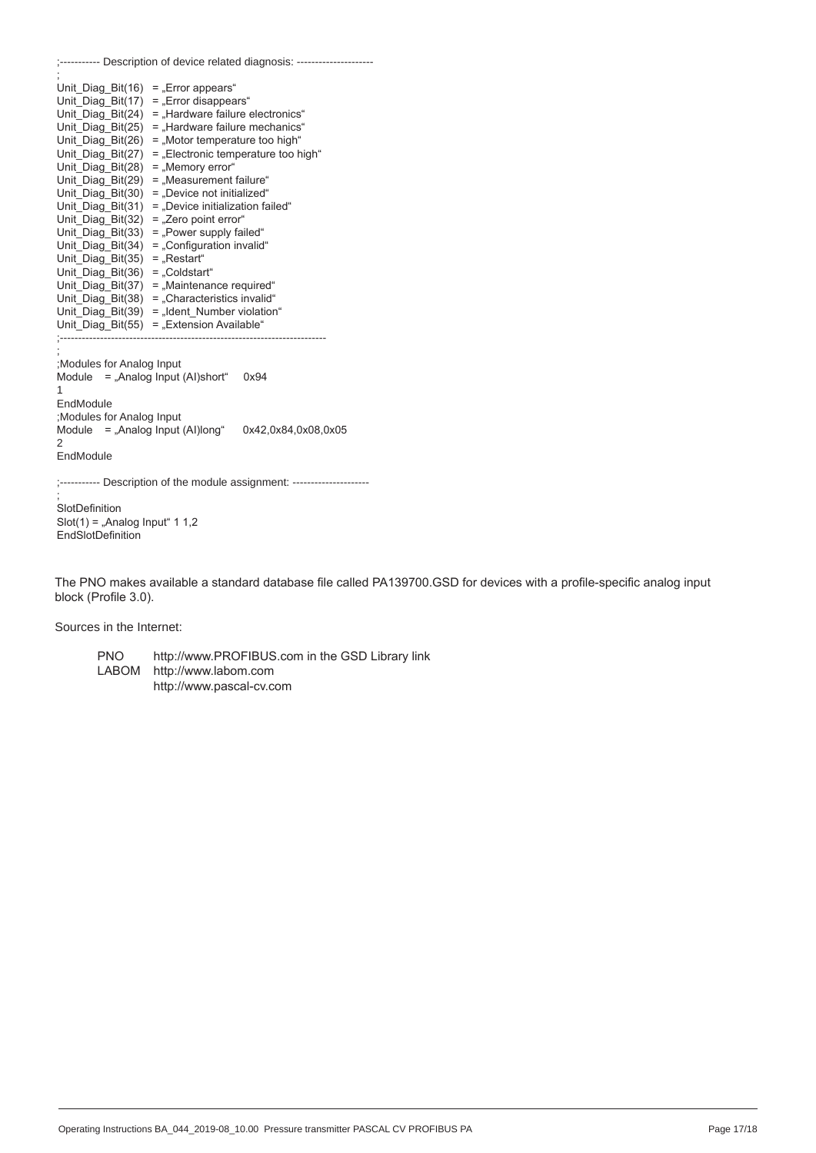|                                                                                                                                                                                                                                                                                                                                                                                                                                                                                                                         | ;----------- Description of device related diagnosis: ---------------------                                                                                                                                                                                                                                                                                          |
|-------------------------------------------------------------------------------------------------------------------------------------------------------------------------------------------------------------------------------------------------------------------------------------------------------------------------------------------------------------------------------------------------------------------------------------------------------------------------------------------------------------------------|----------------------------------------------------------------------------------------------------------------------------------------------------------------------------------------------------------------------------------------------------------------------------------------------------------------------------------------------------------------------|
| Unit Diag Bit(16) = "Error appears"<br>Unit_Diag_Bit(17)<br>Unit_Diag_Bit(24)<br>Unit Diag Bit(25)<br>Unit Diag Bit(26)<br>Unit_Diag_Bit(27)<br>Unit_Diag_Bit(28)<br>Unit Diag Bit(29)<br>Unit Diag Bit(30)<br>Unit_Diag_Bit(31)<br>Unit_Diag_Bit(32)<br>Unit_Diag_Bit(33)<br>Unit_Diag_Bit(34)<br>Unit Diag Bit(35)<br>$=$ "Restart"<br>Unit Diag Bit(36) = "Coldstart"<br>Unit Diag Bit(37) = "Maintenance required"<br>Unit Diag Bit(38) = "Characteristics invalid"<br>Unit Diag Bit(39) = "Ident Number violation" | = "Error disappears"<br>= "Hardware failure electronics"<br>= "Hardware failure mechanics"<br>= "Motor temperature too high"<br>= "Electronic temperature too high"<br>= "Memory error"<br>= "Measurement failure"<br>= "Device not initialized"<br>= .Device initialization failed"<br>= "Zero point error"<br>= "Power supply failed"<br>= "Configuration invalid" |
| Unit Diag Bit(55) = "Extension Available"<br>Modules for Analog Input<br>Module $=$ "Analog Input (AI)short"<br>1<br>EndModule<br>Modules for Analog Input<br>Module $=$ "Analog Input (AI)long"<br>2<br>EndModule                                                                                                                                                                                                                                                                                                      | 0x94<br>0x42,0x84,0x08,0x05                                                                                                                                                                                                                                                                                                                                          |
| SlotDefinition<br>.                                                                                                                                                                                                                                                                                                                                                                                                                                                                                                     | ;----------- Description of the module assignment: ---------------------                                                                                                                                                                                                                                                                                             |

Slot(1) = "Analog Input"  $1 1,2$ EndSlotDefinition

The PNO makes available a standard database file called PA139700.GSD for devices with a profile-specific analog input block (Profile 3.0).

Sources in the Internet:

PNO http://www.PROFIBUS.com in the GSD Library link<br>LABOM http://www.labom.com http://www.labom.com http://www.pascal-cv.com